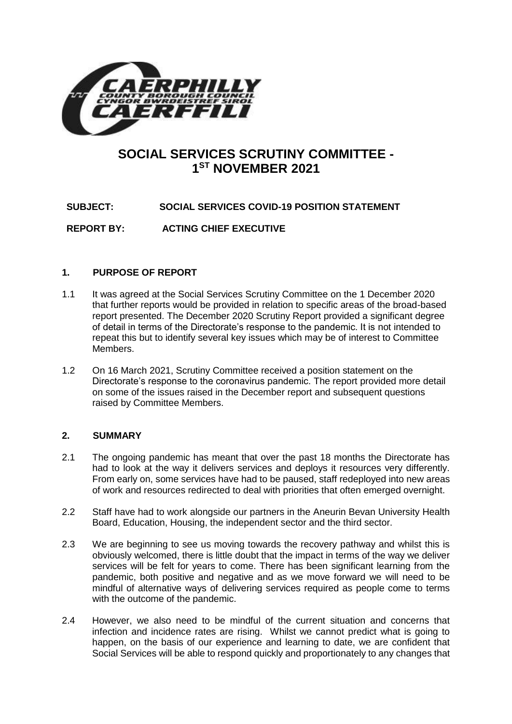

# **SOCIAL SERVICES SCRUTINY COMMITTEE - 1 ST NOVEMBER 2021**

**SUBJECT: SOCIAL SERVICES COVID-19 POSITION STATEMENT**

**REPORT BY: ACTING CHIEF EXECUTIVE**

# **1. PURPOSE OF REPORT**

- 1.1 It was agreed at the Social Services Scrutiny Committee on the 1 December 2020 that further reports would be provided in relation to specific areas of the broad-based report presented. The December 2020 Scrutiny Report provided a significant degree of detail in terms of the Directorate's response to the pandemic. It is not intended to repeat this but to identify several key issues which may be of interest to Committee Members.
- 1.2 On 16 March 2021, Scrutiny Committee received a position statement on the Directorate's response to the coronavirus pandemic. The report provided more detail on some of the issues raised in the December report and subsequent questions raised by Committee Members.

# **2. SUMMARY**

- 2.1 The ongoing pandemic has meant that over the past 18 months the Directorate has had to look at the way it delivers services and deploys it resources very differently. From early on, some services have had to be paused, staff redeployed into new areas of work and resources redirected to deal with priorities that often emerged overnight.
- 2.2 Staff have had to work alongside our partners in the Aneurin Bevan University Health Board, Education, Housing, the independent sector and the third sector.
- 2.3 We are beginning to see us moving towards the recovery pathway and whilst this is obviously welcomed, there is little doubt that the impact in terms of the way we deliver services will be felt for years to come. There has been significant learning from the pandemic, both positive and negative and as we move forward we will need to be mindful of alternative ways of delivering services required as people come to terms with the outcome of the pandemic.
- 2.4 However, we also need to be mindful of the current situation and concerns that infection and incidence rates are rising. Whilst we cannot predict what is going to happen, on the basis of our experience and learning to date, we are confident that Social Services will be able to respond quickly and proportionately to any changes that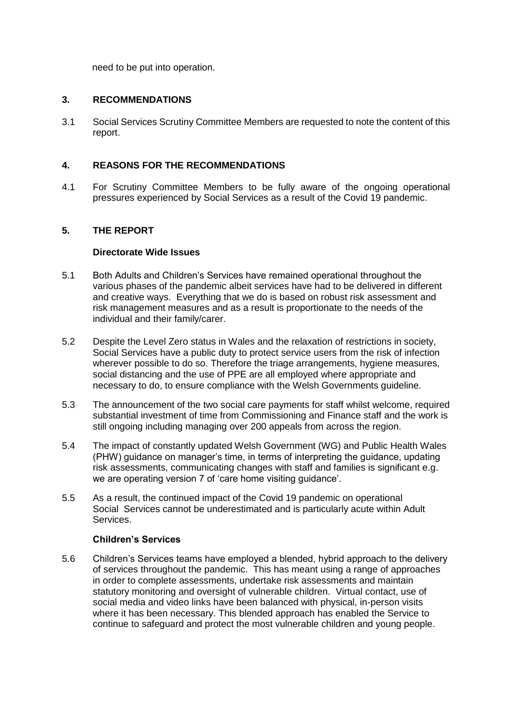need to be put into operation.

# **3. RECOMMENDATIONS**

3.1 Social Services Scrutiny Committee Members are requested to note the content of this report.

# **4. REASONS FOR THE RECOMMENDATIONS**

4.1 For Scrutiny Committee Members to be fully aware of the ongoing operational pressures experienced by Social Services as a result of the Covid 19 pandemic.

# **5. THE REPORT**

#### **Directorate Wide Issues**

- 5.1 Both Adults and Children's Services have remained operational throughout the various phases of the pandemic albeit services have had to be delivered in different and creative ways. Everything that we do is based on robust risk assessment and risk management measures and as a result is proportionate to the needs of the individual and their family/carer.
- 5.2 Despite the Level Zero status in Wales and the relaxation of restrictions in society, Social Services have a public duty to protect service users from the risk of infection wherever possible to do so. Therefore the triage arrangements, hygiene measures, social distancing and the use of PPE are all employed where appropriate and necessary to do, to ensure compliance with the Welsh Governments guideline.
- 5.3 The announcement of the two social care payments for staff whilst welcome, required substantial investment of time from Commissioning and Finance staff and the work is still ongoing including managing over 200 appeals from across the region.
- 5.4 The impact of constantly updated Welsh Government (WG) and Public Health Wales (PHW) guidance on manager's time, in terms of interpreting the guidance, updating risk assessments, communicating changes with staff and families is significant e.g. we are operating version 7 of 'care home visiting guidance'.
- 5.5 As a result, the continued impact of the Covid 19 pandemic on operational Social Services cannot be underestimated and is particularly acute within Adult **Services**

# **Children's Services**

5.6 Children's Services teams have employed a blended, hybrid approach to the delivery of services throughout the pandemic. This has meant using a range of approaches in order to complete assessments, undertake risk assessments and maintain statutory monitoring and oversight of vulnerable children. Virtual contact, use of social media and video links have been balanced with physical, in-person visits where it has been necessary. This blended approach has enabled the Service to continue to safeguard and protect the most vulnerable children and young people.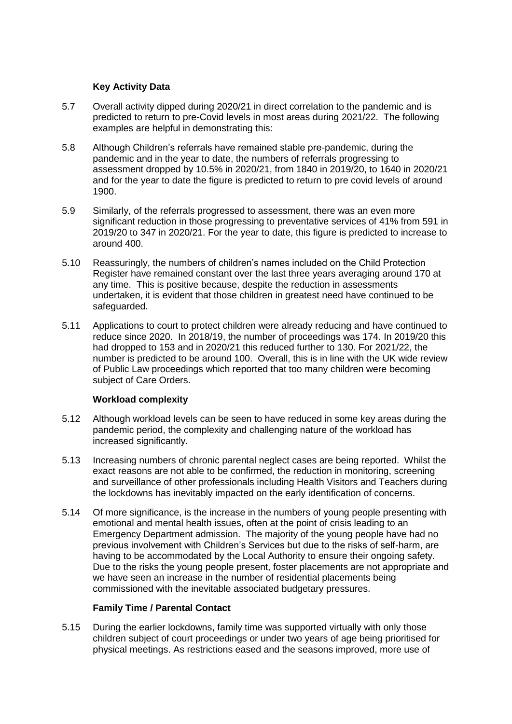# **Key Activity Data**

- 5.7 Overall activity dipped during 2020/21 in direct correlation to the pandemic and is predicted to return to pre-Covid levels in most areas during 2021/22. The following examples are helpful in demonstrating this:
- 5.8 Although Children's referrals have remained stable pre-pandemic, during the pandemic and in the year to date, the numbers of referrals progressing to assessment dropped by 10.5% in 2020/21, from 1840 in 2019/20, to 1640 in 2020/21 and for the year to date the figure is predicted to return to pre covid levels of around 1900.
- 5.9 Similarly, of the referrals progressed to assessment, there was an even more significant reduction in those progressing to preventative services of 41% from 591 in 2019/20 to 347 in 2020/21. For the year to date, this figure is predicted to increase to around 400.
- 5.10 Reassuringly, the numbers of children's names included on the Child Protection Register have remained constant over the last three years averaging around 170 at any time. This is positive because, despite the reduction in assessments undertaken, it is evident that those children in greatest need have continued to be safeguarded.
- 5.11 Applications to court to protect children were already reducing and have continued to reduce since 2020. In 2018/19, the number of proceedings was 174. In 2019/20 this had dropped to 153 and in 2020/21 this reduced further to 130. For 2021/22, the number is predicted to be around 100. Overall, this is in line with the UK wide review of Public Law proceedings which reported that too many children were becoming subject of Care Orders.

# **Workload complexity**

- 5.12 Although workload levels can be seen to have reduced in some key areas during the pandemic period, the complexity and challenging nature of the workload has increased significantly.
- 5.13 Increasing numbers of chronic parental neglect cases are being reported. Whilst the exact reasons are not able to be confirmed, the reduction in monitoring, screening and surveillance of other professionals including Health Visitors and Teachers during the lockdowns has inevitably impacted on the early identification of concerns.
- 5.14 Of more significance, is the increase in the numbers of young people presenting with emotional and mental health issues, often at the point of crisis leading to an Emergency Department admission. The majority of the young people have had no previous involvement with Children's Services but due to the risks of self-harm, are having to be accommodated by the Local Authority to ensure their ongoing safety. Due to the risks the young people present, foster placements are not appropriate and we have seen an increase in the number of residential placements being commissioned with the inevitable associated budgetary pressures.

# **Family Time / Parental Contact**

5.15 During the earlier lockdowns, family time was supported virtually with only those children subject of court proceedings or under two years of age being prioritised for physical meetings. As restrictions eased and the seasons improved, more use of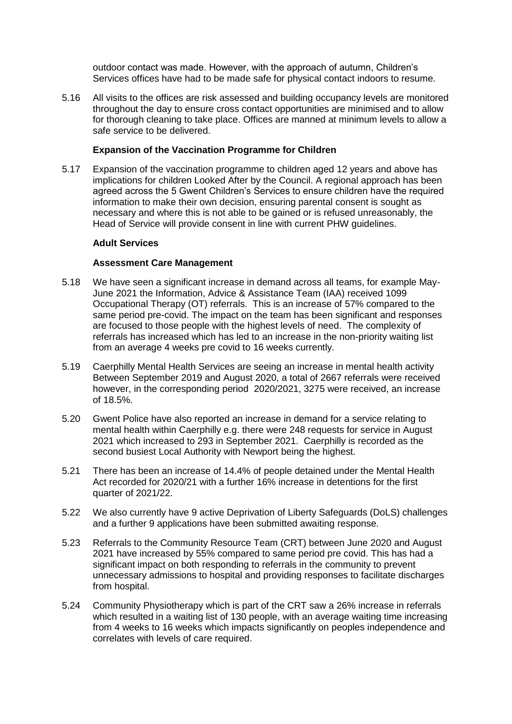outdoor contact was made. However, with the approach of autumn, Children's Services offices have had to be made safe for physical contact indoors to resume.

5.16 All visits to the offices are risk assessed and building occupancy levels are monitored throughout the day to ensure cross contact opportunities are minimised and to allow for thorough cleaning to take place. Offices are manned at minimum levels to allow a safe service to be delivered.

#### **Expansion of the Vaccination Programme for Children**

5.17 Expansion of the vaccination programme to children aged 12 years and above has implications for children Looked After by the Council. A regional approach has been agreed across the 5 Gwent Children's Services to ensure children have the required information to make their own decision, ensuring parental consent is sought as necessary and where this is not able to be gained or is refused unreasonably, the Head of Service will provide consent in line with current PHW guidelines.

#### **Adult Services**

#### **Assessment Care Management**

- 5.18 We have seen a significant increase in demand across all teams, for example May-June 2021 the Information, Advice & Assistance Team (IAA) received 1099 Occupational Therapy (OT) referrals. This is an increase of 57% compared to the same period pre-covid. The impact on the team has been significant and responses are focused to those people with the highest levels of need. The complexity of referrals has increased which has led to an increase in the non-priority waiting list from an average 4 weeks pre covid to 16 weeks currently.
- 5.19 Caerphilly Mental Health Services are seeing an increase in mental health activity Between September 2019 and August 2020, a total of 2667 referrals were received however, in the corresponding period 2020/2021, 3275 were received, an increase of 18.5%.
- 5.20 Gwent Police have also reported an increase in demand for a service relating to mental health within Caerphilly e.g. there were 248 requests for service in August 2021 which increased to 293 in September 2021. Caerphilly is recorded as the second busiest Local Authority with Newport being the highest.
- 5.21 There has been an increase of 14.4% of people detained under the Mental Health Act recorded for 2020/21 with a further 16% increase in detentions for the first quarter of 2021/22.
- 5.22 We also currently have 9 active Deprivation of Liberty Safeguards (DoLS) challenges and a further 9 applications have been submitted awaiting response.
- 5.23 Referrals to the Community Resource Team (CRT) between June 2020 and August 2021 have increased by 55% compared to same period pre covid. This has had a significant impact on both responding to referrals in the community to prevent unnecessary admissions to hospital and providing responses to facilitate discharges from hospital.
- 5.24 Community Physiotherapy which is part of the CRT saw a 26% increase in referrals which resulted in a waiting list of 130 people, with an average waiting time increasing from 4 weeks to 16 weeks which impacts significantly on peoples independence and correlates with levels of care required.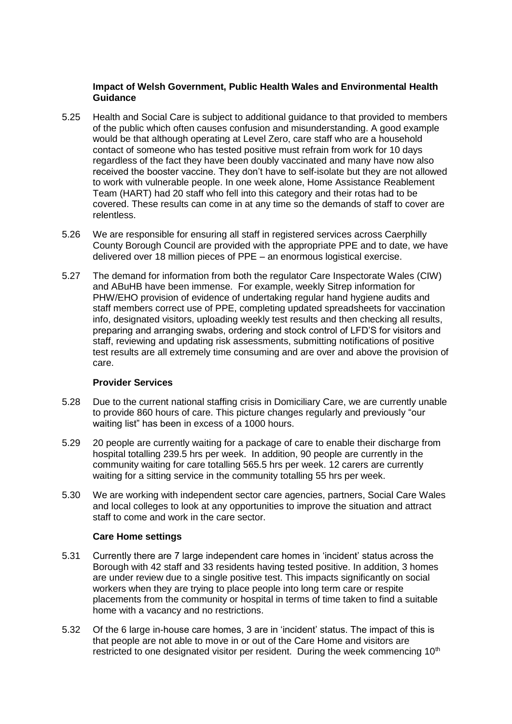# **Impact of Welsh Government, Public Health Wales and Environmental Health Guidance**

- 5.25 Health and Social Care is subject to additional guidance to that provided to members of the public which often causes confusion and misunderstanding. A good example would be that although operating at Level Zero, care staff who are a household contact of someone who has tested positive must refrain from work for 10 days regardless of the fact they have been doubly vaccinated and many have now also received the booster vaccine. They don't have to self-isolate but they are not allowed to work with vulnerable people. In one week alone, Home Assistance Reablement Team (HART) had 20 staff who fell into this category and their rotas had to be covered. These results can come in at any time so the demands of staff to cover are relentless.
- 5.26 We are responsible for ensuring all staff in registered services across Caerphilly County Borough Council are provided with the appropriate PPE and to date, we have delivered over 18 million pieces of PPE – an enormous logistical exercise.
- 5.27 The demand for information from both the regulator Care Inspectorate Wales (CIW) and ABuHB have been immense. For example, weekly Sitrep information for PHW/EHO provision of evidence of undertaking regular hand hygiene audits and staff members correct use of PPE, completing updated spreadsheets for vaccination info, designated visitors, uploading weekly test results and then checking all results, preparing and arranging swabs, ordering and stock control of LFD'S for visitors and staff, reviewing and updating risk assessments, submitting notifications of positive test results are all extremely time consuming and are over and above the provision of care.

# **Provider Services**

- 5.28 Due to the current national staffing crisis in Domiciliary Care, we are currently unable to provide 860 hours of care. This picture changes regularly and previously "our waiting list" has been in excess of a 1000 hours.
- 5.29 20 people are currently waiting for a package of care to enable their discharge from hospital totalling 239.5 hrs per week. In addition, 90 people are currently in the community waiting for care totalling 565.5 hrs per week. 12 carers are currently waiting for a sitting service in the community totalling 55 hrs per week.
- 5.30 We are working with independent sector care agencies, partners, Social Care Wales and local colleges to look at any opportunities to improve the situation and attract staff to come and work in the care sector.

# **Care Home settings**

- 5.31 Currently there are 7 large independent care homes in 'incident' status across the Borough with 42 staff and 33 residents having tested positive. In addition, 3 homes are under review due to a single positive test. This impacts significantly on social workers when they are trying to place people into long term care or respite placements from the community or hospital in terms of time taken to find a suitable home with a vacancy and no restrictions.
- 5.32 Of the 6 large in-house care homes, 3 are in 'incident' status. The impact of this is that people are not able to move in or out of the Care Home and visitors are restricted to one designated visitor per resident. During the week commencing 10<sup>th</sup>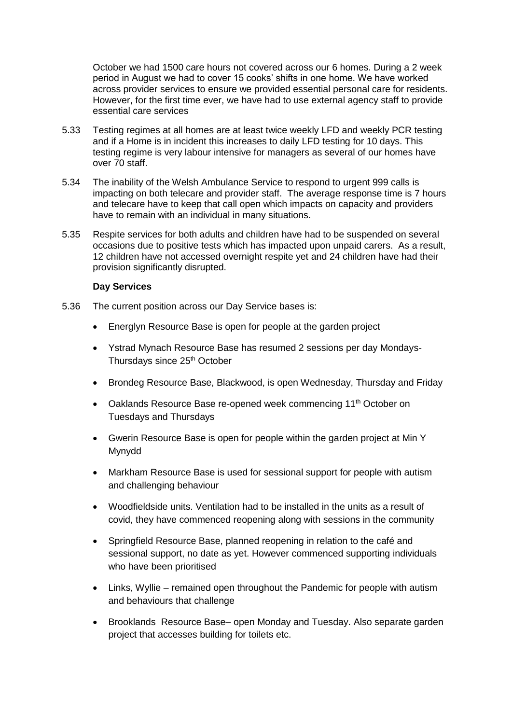October we had 1500 care hours not covered across our 6 homes. During a 2 week period in August we had to cover 15 cooks' shifts in one home. We have worked across provider services to ensure we provided essential personal care for residents. However, for the first time ever, we have had to use external agency staff to provide essential care services

- 5.33 Testing regimes at all homes are at least twice weekly LFD and weekly PCR testing and if a Home is in incident this increases to daily LFD testing for 10 days. This testing regime is very labour intensive for managers as several of our homes have over 70 staff.
- 5.34 The inability of the Welsh Ambulance Service to respond to urgent 999 calls is impacting on both telecare and provider staff. The average response time is 7 hours and telecare have to keep that call open which impacts on capacity and providers have to remain with an individual in many situations.
- 5.35 Respite services for both adults and children have had to be suspended on several occasions due to positive tests which has impacted upon unpaid carers. As a result, 12 children have not accessed overnight respite yet and 24 children have had their provision significantly disrupted.

#### **Day Services**

- 5.36 The current position across our Day Service bases is:
	- Energlyn Resource Base is open for people at the garden project
	- Ystrad Mynach Resource Base has resumed 2 sessions per day Mondays-Thursdays since 25<sup>th</sup> October
	- Brondeg Resource Base, Blackwood, is open Wednesday, Thursday and Friday
	- Oaklands Resource Base re-opened week commencing 11<sup>th</sup> October on Tuesdays and Thursdays
	- Gwerin Resource Base is open for people within the garden project at Min Y Mynydd
	- Markham Resource Base is used for sessional support for people with autism and challenging behaviour
	- Woodfieldside units. Ventilation had to be installed in the units as a result of covid, they have commenced reopening along with sessions in the community
	- Springfield Resource Base, planned reopening in relation to the café and sessional support, no date as yet. However commenced supporting individuals who have been prioritised
	- Links, Wyllie remained open throughout the Pandemic for people with autism and behaviours that challenge
	- Brooklands Resource Base– open Monday and Tuesday. Also separate garden project that accesses building for toilets etc.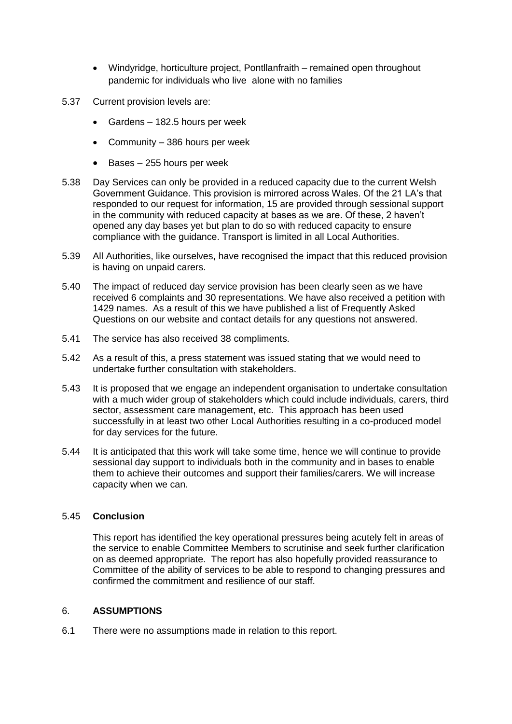- Windyridge, horticulture project, Pontllanfraith remained open throughout pandemic for individuals who live alone with no families
- 5.37 Current provision levels are:
	- Gardens 182.5 hours per week
	- Community 386 hours per week
	- $\bullet$  Bases 255 hours per week
- 5.38 Day Services can only be provided in a reduced capacity due to the current Welsh Government Guidance. This provision is mirrored across Wales. Of the 21 LA's that responded to our request for information, 15 are provided through sessional support in the community with reduced capacity at bases as we are. Of these, 2 haven't opened any day bases yet but plan to do so with reduced capacity to ensure compliance with the guidance. Transport is limited in all Local Authorities.
- 5.39 All Authorities, like ourselves, have recognised the impact that this reduced provision is having on unpaid carers.
- 5.40 The impact of reduced day service provision has been clearly seen as we have received 6 complaints and 30 representations. We have also received a petition with 1429 names. As a result of this we have published a list of Frequently Asked Questions on our website and contact details for any questions not answered.
- 5.41 The service has also received 38 compliments.
- 5.42 As a result of this, a press statement was issued stating that we would need to undertake further consultation with stakeholders.
- 5.43 It is proposed that we engage an independent organisation to undertake consultation with a much wider group of stakeholders which could include individuals, carers, third sector, assessment care management, etc. This approach has been used successfully in at least two other Local Authorities resulting in a co-produced model for day services for the future.
- 5.44 It is anticipated that this work will take some time, hence we will continue to provide sessional day support to individuals both in the community and in bases to enable them to achieve their outcomes and support their families/carers. We will increase capacity when we can.

# 5.45 **Conclusion**

This report has identified the key operational pressures being acutely felt in areas of the service to enable Committee Members to scrutinise and seek further clarification on as deemed appropriate. The report has also hopefully provided reassurance to Committee of the ability of services to be able to respond to changing pressures and confirmed the commitment and resilience of our staff.

#### 6. **ASSUMPTIONS**

6.1 There were no assumptions made in relation to this report.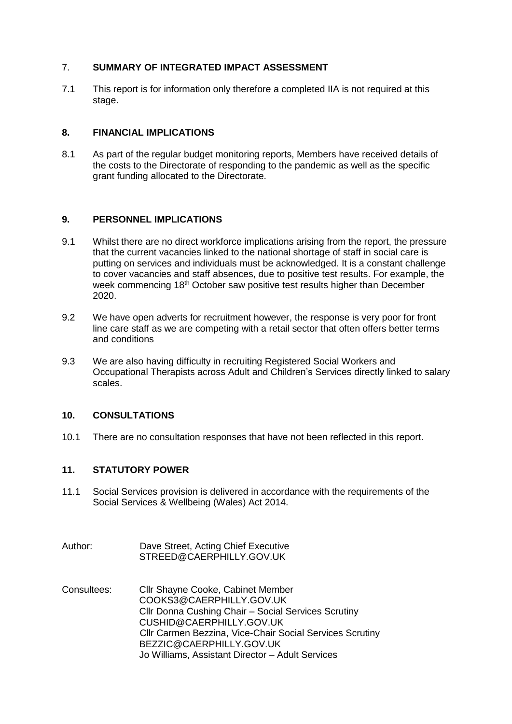# 7. **SUMMARY OF INTEGRATED IMPACT ASSESSMENT**

7.1 This report is for information only therefore a completed IIA is not required at this stage.

# **8. FINANCIAL IMPLICATIONS**

8.1 As part of the regular budget monitoring reports, Members have received details of the costs to the Directorate of responding to the pandemic as well as the specific grant funding allocated to the Directorate.

# **9. PERSONNEL IMPLICATIONS**

- 9.1 Whilst there are no direct workforce implications arising from the report, the pressure that the current vacancies linked to the national shortage of staff in social care is putting on services and individuals must be acknowledged. It is a constant challenge to cover vacancies and staff absences, due to positive test results. For example, the week commencing  $18<sup>th</sup>$  October saw positive test results higher than December 2020.
- 9.2 We have open adverts for recruitment however, the response is very poor for front line care staff as we are competing with a retail sector that often offers better terms and conditions
- 9.3 We are also having difficulty in recruiting Registered Social Workers and Occupational Therapists across Adult and Children's Services directly linked to salary scales.

# **10. CONSULTATIONS**

10.1 There are no consultation responses that have not been reflected in this report.

# **11. STATUTORY POWER**

- 11.1 Social Services provision is delivered in accordance with the requirements of the Social Services & Wellbeing (Wales) Act 2014.
- Author: Dave Street, Acting Chief Executive STREED@CAERPHILLY.GOV.UK
- Consultees: Cllr Shayne Cooke, Cabinet Member [COOKS3@CAERPHILLY.GOV.UK](mailto:COOKS3@CAERPHILLY.GOV.UK) Cllr Donna Cushing Chair – Social Services Scrutiny CUSHID@CAERPHILLY.GOV.UK Cllr Carmen Bezzina, Vice-Chair Social Services Scrutiny [BEZZIC@CAERPHILLY.GOV.UK](mailto:BEZZIC@CAERPHILLY.GOV.UK) Jo Williams, Assistant Director – Adult Services